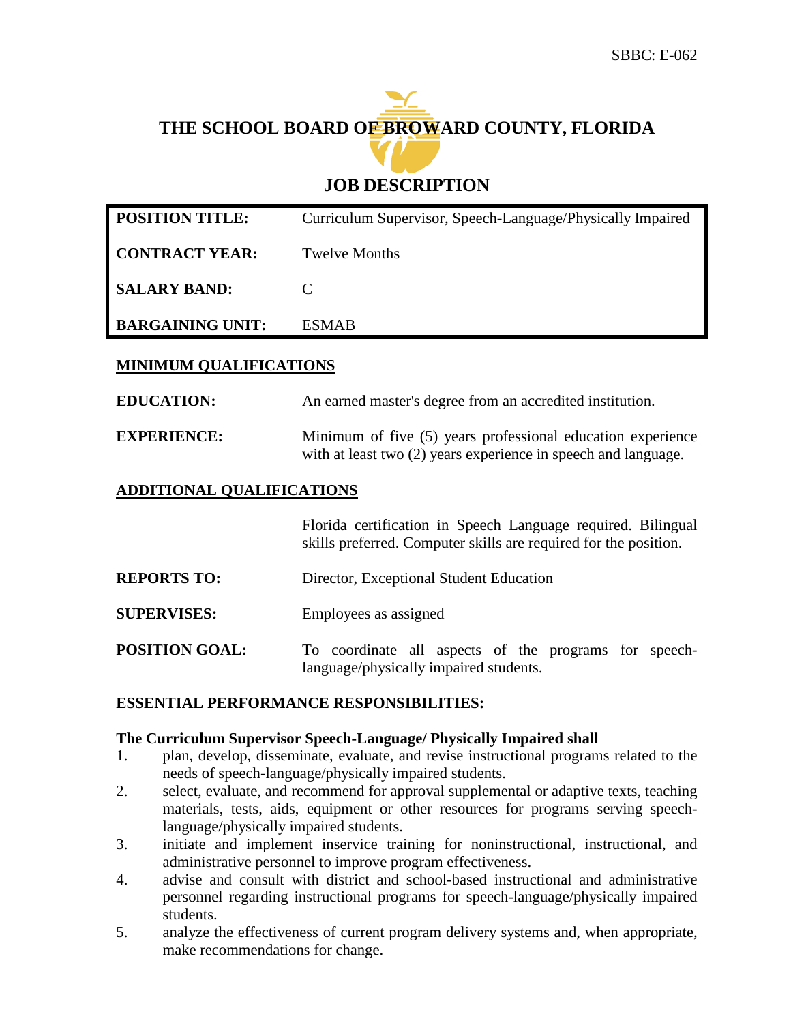# **THE SCHOOL BOARD OF BROWARD COUNTY, FLORIDA**

### **JOB DESCRIPTION**

| <b>POSITION TITLE:</b>  | Curriculum Supervisor, Speech-Language/Physically Impaired |
|-------------------------|------------------------------------------------------------|
| <b>CONTRACT YEAR:</b>   | <b>Twelve Months</b>                                       |
| <b>SALARY BAND:</b>     |                                                            |
| <b>BARGAINING UNIT:</b> | <b>ESMAR</b>                                               |

#### **MINIMUM QUALIFICATIONS**

**EDUCATION:** An earned master's degree from an accredited institution. **EXPERIENCE:** Minimum of five (5) years professional education experience

## **ADDITIONAL QUALIFICATIONS**

Florida certification in Speech Language required. Bilingual skills preferred. Computer skills are required for the position.

with at least two  $(2)$  years experience in speech and language.

- **REPORTS TO:** Director, Exceptional Student Education
- **SUPERVISES:** Employees as assigned
- **POSITION GOAL:** To coordinate all aspects of the programs for speechlanguage/physically impaired students.

#### **ESSENTIAL PERFORMANCE RESPONSIBILITIES:**

#### **The Curriculum Supervisor Speech-Language/ Physically Impaired shall**

- 1. plan, develop, disseminate, evaluate, and revise instructional programs related to the needs of speech-language/physically impaired students.
- 2. select, evaluate, and recommend for approval supplemental or adaptive texts, teaching materials, tests, aids, equipment or other resources for programs serving speechlanguage/physically impaired students.
- 3. initiate and implement inservice training for noninstructional, instructional, and administrative personnel to improve program effectiveness.
- 4. advise and consult with district and school-based instructional and administrative personnel regarding instructional programs for speech-language/physically impaired students.
- 5. analyze the effectiveness of current program delivery systems and, when appropriate, make recommendations for change.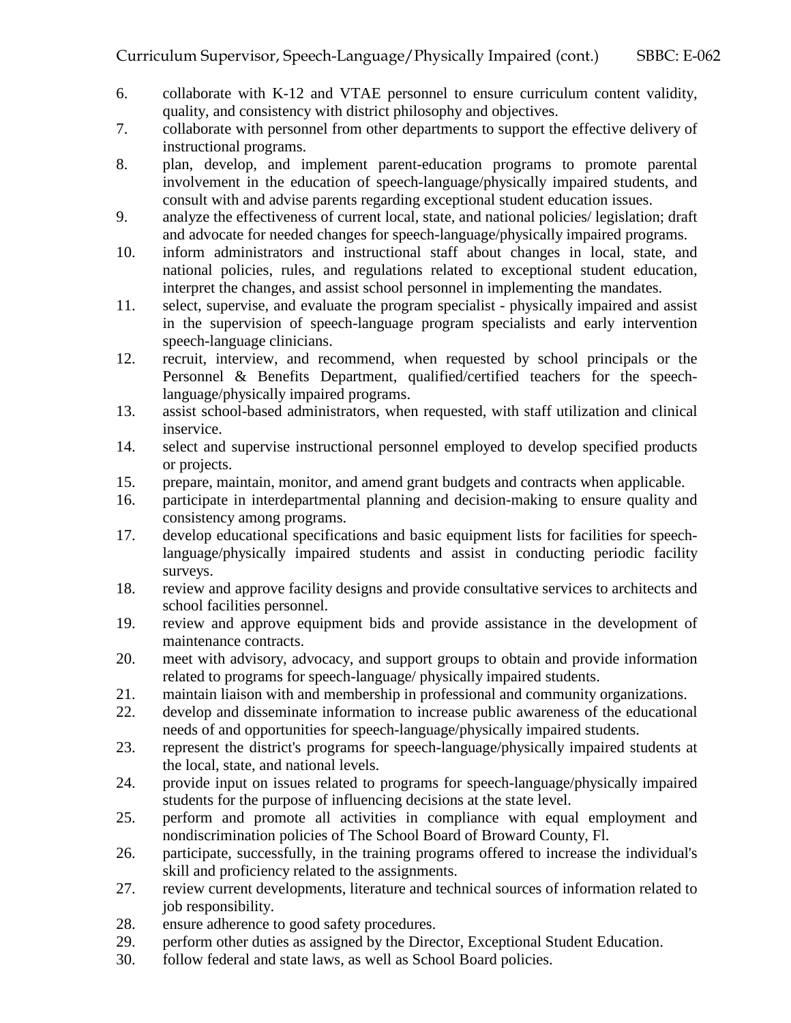- 6. collaborate with K-12 and VTAE personnel to ensure curriculum content validity, quality, and consistency with district philosophy and objectives.
- 7. collaborate with personnel from other departments to support the effective delivery of instructional programs.
- 8. plan, develop, and implement parent-education programs to promote parental involvement in the education of speech-language/physically impaired students, and consult with and advise parents regarding exceptional student education issues.
- 9. analyze the effectiveness of current local, state, and national policies/ legislation; draft and advocate for needed changes for speech-language/physically impaired programs.
- 10. inform administrators and instructional staff about changes in local, state, and national policies, rules, and regulations related to exceptional student education, interpret the changes, and assist school personnel in implementing the mandates.
- 11. select, supervise, and evaluate the program specialist physically impaired and assist in the supervision of speech-language program specialists and early intervention speech-language clinicians.
- 12. recruit, interview, and recommend, when requested by school principals or the Personnel & Benefits Department, qualified/certified teachers for the speechlanguage/physically impaired programs.
- 13. assist school-based administrators, when requested, with staff utilization and clinical inservice.
- 14. select and supervise instructional personnel employed to develop specified products or projects.
- 15. prepare, maintain, monitor, and amend grant budgets and contracts when applicable.
- 16. participate in interdepartmental planning and decision-making to ensure quality and consistency among programs.
- 17. develop educational specifications and basic equipment lists for facilities for speechlanguage/physically impaired students and assist in conducting periodic facility surveys.
- 18. review and approve facility designs and provide consultative services to architects and school facilities personnel.
- 19. review and approve equipment bids and provide assistance in the development of maintenance contracts.
- 20. meet with advisory, advocacy, and support groups to obtain and provide information related to programs for speech-language/ physically impaired students.
- 21. maintain liaison with and membership in professional and community organizations.
- 22. develop and disseminate information to increase public awareness of the educational needs of and opportunities for speech-language/physically impaired students.
- 23. represent the district's programs for speech-language/physically impaired students at the local, state, and national levels.
- 24. provide input on issues related to programs for speech-language/physically impaired students for the purpose of influencing decisions at the state level.
- 25. perform and promote all activities in compliance with equal employment and nondiscrimination policies of The School Board of Broward County, Fl.
- 26. participate, successfully, in the training programs offered to increase the individual's skill and proficiency related to the assignments.
- 27. review current developments, literature and technical sources of information related to job responsibility.
- 28. ensure adherence to good safety procedures.
- 29. perform other duties as assigned by the Director, Exceptional Student Education.
- 30. follow federal and state laws, as well as School Board policies.